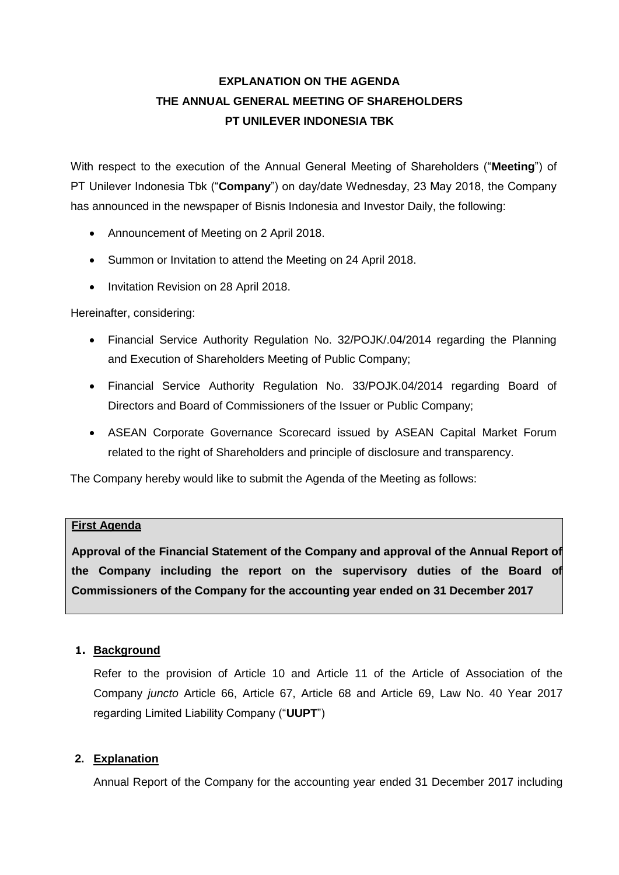## **EXPLANATION ON THE AGENDA THE ANNUAL GENERAL MEETING OF SHAREHOLDERS PT UNILEVER INDONESIA TBK**

With respect to the execution of the Annual General Meeting of Shareholders ("**Meeting**") of PT Unilever Indonesia Tbk ("**Company**") on day/date Wednesday, 23 May 2018, the Company has announced in the newspaper of Bisnis Indonesia and Investor Daily, the following:

- Announcement of Meeting on 2 April 2018.
- Summon or Invitation to attend the Meeting on 24 April 2018.
- Invitation Revision on 28 April 2018.

Hereinafter, considering:

- Financial Service Authority Regulation No. 32/POJK/.04/2014 regarding the Planning and Execution of Shareholders Meeting of Public Company;
- Financial Service Authority Regulation No. 33/POJK.04/2014 regarding Board of Directors and Board of Commissioners of the Issuer or Public Company;
- ASEAN Corporate Governance Scorecard issued by ASEAN Capital Market Forum related to the right of Shareholders and principle of disclosure and transparency.

The Company hereby would like to submit the Agenda of the Meeting as follows:

## **First Agenda**

**Approval of the Financial Statement of the Company and approval of the Annual Report of the Company including the report on the supervisory duties of the Board of Commissioners of the Company for the accounting year ended on 31 December 2017** 

## **1. Background**

Refer to the provision of Article 10 and Article 11 of the Article of Association of the Company *juncto* Article 66, Article 67, Article 68 and Article 69, Law No. 40 Year 2017 regarding Limited Liability Company ("**UUPT**")

## **2. Explanation**

Annual Report of the Company for the accounting year ended 31 December 2017 including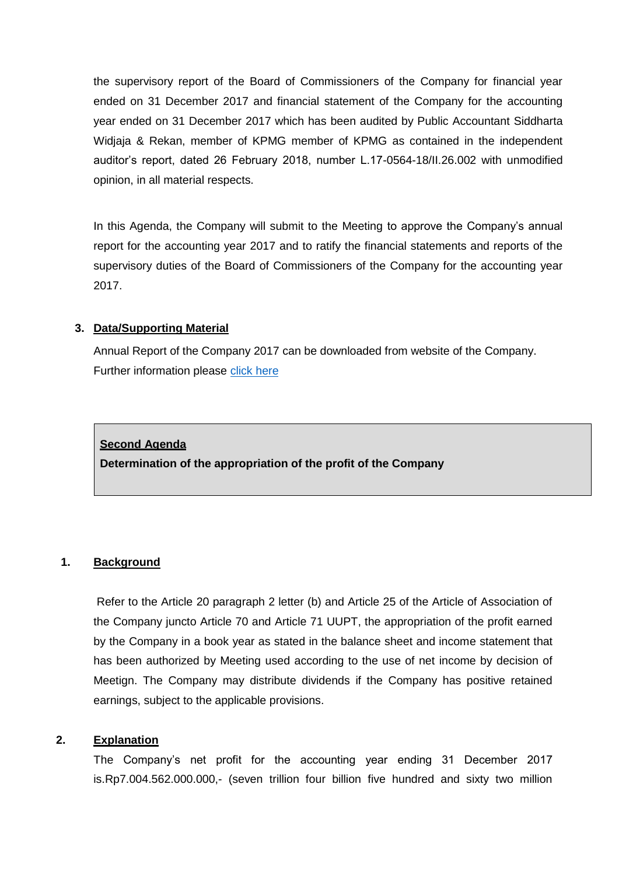the supervisory report of the Board of Commissioners of the Company for financial year ended on 31 December 2017 and financial statement of the Company for the accounting year ended on 31 December 2017 which has been audited by Public Accountant Siddharta Widjaja & Rekan, member of KPMG member of KPMG as contained in the independent auditor's report, dated 26 February 2018, number L.17-0564-18/II.26.002 with unmodified opinion, in all material respects.

In this Agenda, the Company will submit to the Meeting to approve the Company's annual report for the accounting year 2017 and to ratify the financial statements and reports of the supervisory duties of the Board of Commissioners of the Company for the accounting year 2017.

## **3. Data/Supporting Material**

Annual Report of the Company 2017 can be downloaded from website of the Company. Further information please [click here](https://www.unilever.co.id/investor-relations/publikasi-perusahaan/laporan-tahunan.html)

### **Second Agenda**

**Determination of the appropriation of the profit of the Company**

## **1. Background**

Refer to the Article 20 paragraph 2 letter (b) and Article 25 of the Article of Association of the Company juncto Article 70 and Article 71 UUPT, the appropriation of the profit earned by the Company in a book year as stated in the balance sheet and income statement that has been authorized by Meeting used according to the use of net income by decision of Meetign. The Company may distribute dividends if the Company has positive retained earnings, subject to the applicable provisions.

### **2. Explanation**

The Company's net profit for the accounting year ending 31 December 2017 is.Rp7.004.562.000.000,- (seven trillion four billion five hundred and sixty two million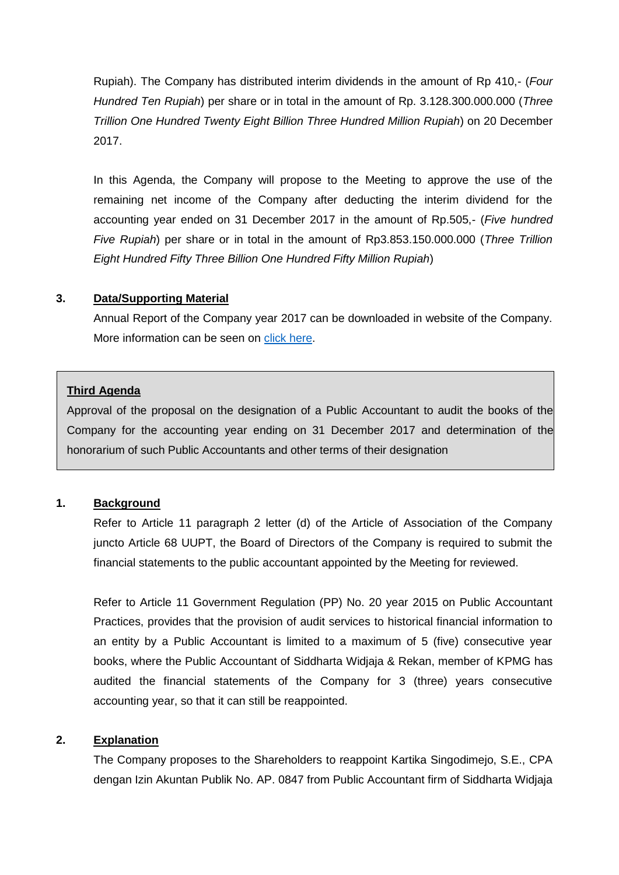Rupiah). The Company has distributed interim dividends in the amount of Rp 410,- (*Four Hundred Ten Rupiah*) per share or in total in the amount of Rp. 3.128.300.000.000 (*Three Trillion One Hundred Twenty Eight Billion Three Hundred Million Rupiah*) on 20 December 2017.

In this Agenda, the Company will propose to the Meeting to approve the use of the remaining net income of the Company after deducting the interim dividend for the accounting year ended on 31 December 2017 in the amount of Rp.505,- (*Five hundred Five Rupiah*) per share or in total in the amount of Rp3.853.150.000.000 (*Three Trillion Eight Hundred Fifty Three Billion One Hundred Fifty Million Rupiah*)

#### **3. Data/Supporting Material**

Annual Report of the Company year 2017 can be downloaded in website of the Company. More information can be seen on [click here.](https://www.unilever.co.id/investor-relations/publikasi-perusahaan/laporan-tahunan.html)

#### **Third Agenda**

Approval of the proposal on the designation of a Public Accountant to audit the books of the Company for the accounting year ending on 31 December 2017 and determination of the honorarium of such Public Accountants and other terms of their designation

#### **1. Background**

Refer to Article 11 paragraph 2 letter (d) of the Article of Association of the Company juncto Article 68 UUPT, the Board of Directors of the Company is required to submit the financial statements to the public accountant appointed by the Meeting for reviewed.

Refer to Article 11 Government Regulation (PP) No. 20 year 2015 on Public Accountant Practices, provides that the provision of audit services to historical financial information to an entity by a Public Accountant is limited to a maximum of 5 (five) consecutive year books, where the Public Accountant of Siddharta Widjaja & Rekan, member of KPMG has audited the financial statements of the Company for 3 (three) years consecutive accounting year, so that it can still be reappointed.

#### **2. Explanation**

The Company proposes to the Shareholders to reappoint Kartika Singodimejo, S.E., CPA dengan Izin Akuntan Publik No. AP. 0847 from Public Accountant firm of Siddharta Widjaja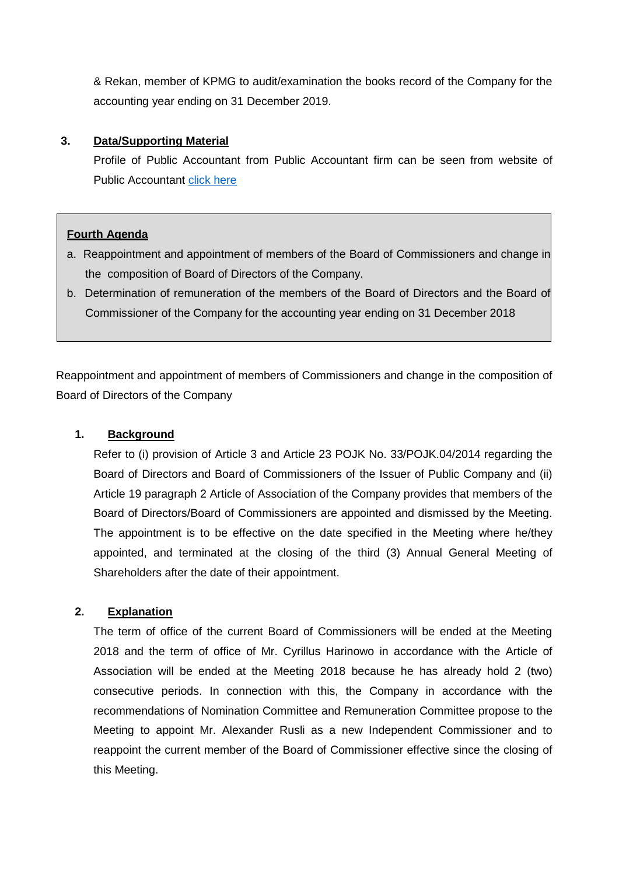& Rekan, member of KPMG to audit/examination the books record of the Company for the accounting year ending on 31 December 2019.

### **3. Data/Supporting Material**

Profile of Public Accountant from Public Accountant firm can be seen from website of Public Accountant [click here](https://home.kpmg.com/id/en/home/about.html)

#### **Fourth Agenda**

- a. Reappointment and appointment of members of the Board of Commissioners and change in the composition of Board of Directors of the Company.
- b. Determination of remuneration of the members of the Board of Directors and the Board of Commissioner of the Company for the accounting year ending on 31 December 2018

Reappointment and appointment of members of Commissioners and change in the composition of Board of Directors of the Company

#### **1. Background**

Refer to (i) provision of Article 3 and Article 23 POJK No. 33/POJK.04/2014 regarding the Board of Directors and Board of Commissioners of the Issuer of Public Company and (ii) Article 19 paragraph 2 Article of Association of the Company provides that members of the Board of Directors/Board of Commissioners are appointed and dismissed by the Meeting. The appointment is to be effective on the date specified in the Meeting where he/they appointed, and terminated at the closing of the third (3) Annual General Meeting of Shareholders after the date of their appointment.

### **2. Explanation**

The term of office of the current Board of Commissioners will be ended at the Meeting 2018 and the term of office of Mr. Cyrillus Harinowo in accordance with the Article of Association will be ended at the Meeting 2018 because he has already hold 2 (two) consecutive periods. In connection with this, the Company in accordance with the recommendations of Nomination Committee and Remuneration Committee propose to the Meeting to appoint Mr. Alexander Rusli as a new Independent Commissioner and to reappoint the current member of the Board of Commissioner effective since the closing of this Meeting.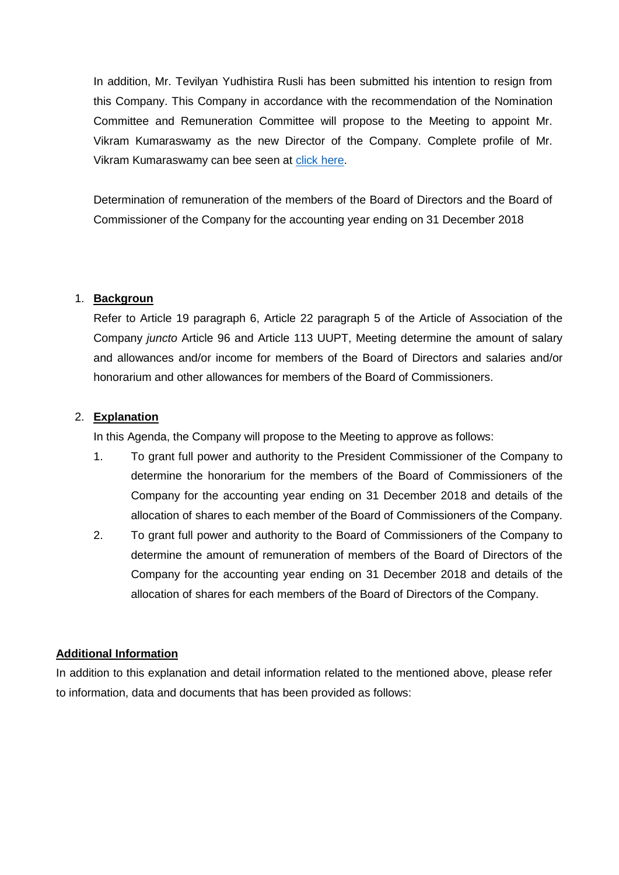In addition, Mr. Tevilyan Yudhistira Rusli has been submitted his intention to resign from this Company. This Company in accordance with the recommendation of the Nomination Committee and Remuneration Committee will propose to the Meeting to appoint Mr. Vikram Kumaraswamy as the new Director of the Company. Complete profile of Mr. Vikram Kumaraswamy can bee seen at [click here.](https://www.unilever.co.id/investor-relations/shareholder-information/berita-terkait-rups-dan-rupslb.html)

Determination of remuneration of the members of the Board of Directors and the Board of Commissioner of the Company for the accounting year ending on 31 December 2018

### 1. **Backgroun**

Refer to Article 19 paragraph 6, Article 22 paragraph 5 of the Article of Association of the Company *juncto* Article 96 and Article 113 UUPT, Meeting determine the amount of salary and allowances and/or income for members of the Board of Directors and salaries and/or honorarium and other allowances for members of the Board of Commissioners.

### 2. **Explanation**

In this Agenda, the Company will propose to the Meeting to approve as follows:

- 1. To grant full power and authority to the President Commissioner of the Company to determine the honorarium for the members of the Board of Commissioners of the Company for the accounting year ending on 31 December 2018 and details of the allocation of shares to each member of the Board of Commissioners of the Company.
- 2. To grant full power and authority to the Board of Commissioners of the Company to determine the amount of remuneration of members of the Board of Directors of the Company for the accounting year ending on 31 December 2018 and details of the allocation of shares for each members of the Board of Directors of the Company.

### **Additional Information**

In addition to this explanation and detail information related to the mentioned above, please refer to information, data and documents that has been provided as follows: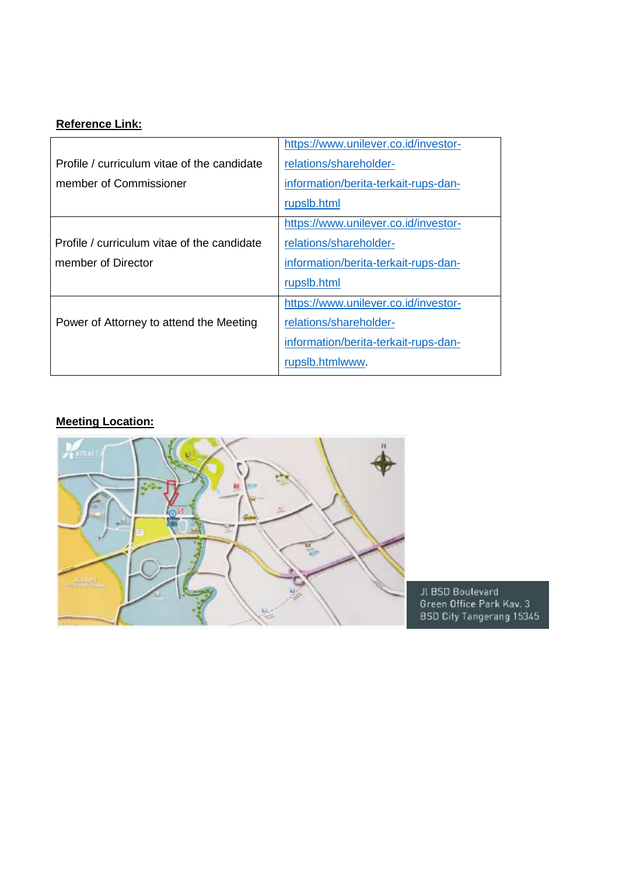# **Reference Link:**

|                                             | https://www.unilever.co.id/investor- |
|---------------------------------------------|--------------------------------------|
| Profile / curriculum vitae of the candidate | relations/shareholder-               |
| member of Commissioner                      | information/berita-terkait-rups-dan- |
|                                             | rupslb.html                          |
|                                             | https://www.unilever.co.id/investor- |
| Profile / curriculum vitae of the candidate | relations/shareholder-               |
| member of Director                          | information/berita-terkait-rups-dan- |
|                                             | rupslb.html                          |
|                                             | https://www.unilever.co.id/investor- |
| Power of Attorney to attend the Meeting     | relations/shareholder-               |
|                                             | information/berita-terkait-rups-dan- |
|                                             | rupslb.htmlwww.                      |

# **Meeting Location:**



JL BSD Boulevard<br>Green Office Park Kav. 3<br>BSD City Tangerang 15345